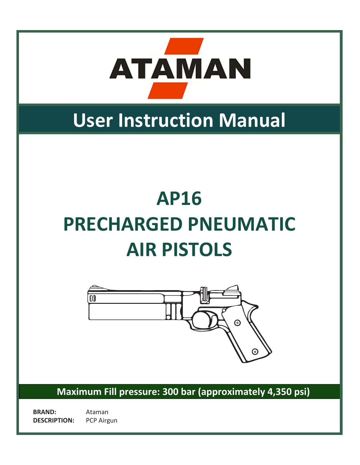

# **User Instruction Manual**

# **AP16 PRECHARGED PNEUMATIC AIR PISTOLS**



**Maximum Fill pressure: 300 bar (approximately 4,350 psi)**

**BRAND:** Ataman **DESCRIPTION:** PCP Airgun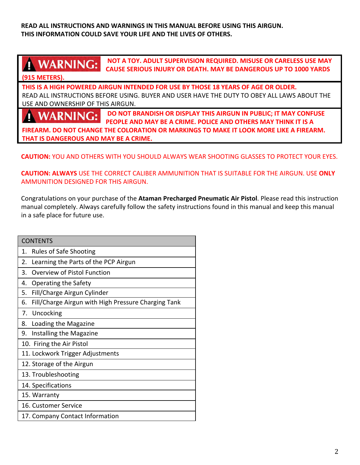**READ ALL INSTRUCTIONS AND WARNINGS IN THIS MANUAL BEFORE USING THIS AIRGUN. THIS INFORMATION COULD SAVE YOUR LIFE AND THE LIVES OF OTHERS.**

### **1 WARNING:**

**NOT A TOY. ADULT SUPERVISION REQUIRED. MISUSE OR CARELESS USE MAY CAUSE SERIOUS INJURY OR DEATH. MAY BE DANGEROUS UP TO 1000 YARDS**

#### **(915 METERS).**

**THIS IS A HIGH POWERED AIRGUN INTENDED FOR USE BY THOSE 18 YEARS OF AGE OR OLDER.** READ ALL INSTRUCTIONS BEFORE USING. BUYER AND USER HAVE THE DUTY TO OBEY ALL LAWS ABOUT THE USE AND OWNERSHIP OF THIS AIRGUN.

#### **DO NOT BRANDISH OR DISPLAY THIS AIRGUN IN PUBLIC; IT MAY CONFUSE WARNING: PEOPLE AND MAY BE A CRIME. POLICE AND OTHERS MAY THINK IT IS A**

**FIREARM. DO NOT CHANGE THE COLORATION OR MARKINGS TO MAKE IT LOOK MORE LIKE A FIREARM. THAT IS DANGEROUS AND MAY BE A CRIME.**

#### **CAUTION:** YOU AND OTHERS WITH YOU SHOULD ALWAYS WEAR SHOOTING GLASSES TO PROTECT YOUR EYES.

#### **CAUTION: ALWAYS** USE THE CORRECT CALIBER AMMUNITION THAT IS SUITABLE FOR THE AIRGUN. USE **ONLY** AMMUNITION DESIGNED FOR THIS AIRGUN.

Congratulations on your purchase of the **Ataman Precharged Pneumatic Air Pistol**. Please read this instruction manual completely. Always carefully follow the safety instructions found in this manual and keep this manual in a safe place for future use.

| <b>CONTENTS</b>                                           |  |  |  |  |  |  |  |
|-----------------------------------------------------------|--|--|--|--|--|--|--|
| <b>Rules of Safe Shooting</b><br>1.                       |  |  |  |  |  |  |  |
| Learning the Parts of the PCP Airgun<br>2.                |  |  |  |  |  |  |  |
| Overview of Pistol Function<br>3.                         |  |  |  |  |  |  |  |
| Operating the Safety<br>4.                                |  |  |  |  |  |  |  |
| Fill/Charge Airgun Cylinder<br>5.                         |  |  |  |  |  |  |  |
| Fill/Charge Airgun with High Pressure Charging Tank<br>6. |  |  |  |  |  |  |  |
| Uncocking<br>7.                                           |  |  |  |  |  |  |  |
| Loading the Magazine<br>8.                                |  |  |  |  |  |  |  |
| Installing the Magazine<br>9.                             |  |  |  |  |  |  |  |
| 10. Firing the Air Pistol                                 |  |  |  |  |  |  |  |
| 11. Lockwork Trigger Adjustments                          |  |  |  |  |  |  |  |
| 12. Storage of the Airgun                                 |  |  |  |  |  |  |  |
| 13. Troubleshooting                                       |  |  |  |  |  |  |  |
| 14. Specifications                                        |  |  |  |  |  |  |  |
| 15. Warranty                                              |  |  |  |  |  |  |  |
| 16. Customer Service                                      |  |  |  |  |  |  |  |
| 17. Company Contact Information                           |  |  |  |  |  |  |  |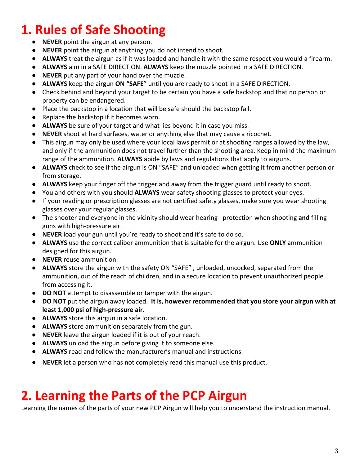### **1. Rules of Safe Shooting**

- **NEVER** point the airgun at any person.
- **NEVER** point the airgun at anything you do not intend to shoot.
- **ALWAYS** treat the airgun as if it was loaded and handle it with the same respect you would a firearm.
- **ALWAYS** aim in a SAFE DIRECTION. **ALWAYS** keep the muzzle pointed in a SAFE DIRECTION.
- **NEVER** put any part of your hand over the muzzle.
- **ALWAYS** keep the airgun **ON "SAFE**" until you are ready to shoot in a SAFE DIRECTION.
- Check behind and beyond your target to be certain you have a safe backstop and that no person or property can be endangered.
- Place the backstop in a location that will be safe should the backstop fail.
- Replace the backstop if it becomes worn.
- **ALWAYS** be sure of your target and what lies beyond it in case you miss. �
- **NEVER** shoot at hard surfaces, water or anything else that may cause a ricochet.
- This airgun may only be used where your local laws permit or at shooting ranges allowed by the law, and only if the ammunition does not travel further than the shooting area. Keep in mind the maximum range of the ammunition. **ALWAYS** abide by laws and regulations that apply to airguns. �
- **ALWAYS** check to see if the airgun is ON "SAFE" and unloaded when getting it from another person or from storage.
- **ALWAYS** keep your finger off the trigger and away from the trigger guard until ready to shoot.
- You and others with you should **ALWAYS** wear safety shooting glasses to protect your eyes.
- If your reading or prescription glasses are not certified safety glasses, make sure you wear shooting glasses over your regular glasses.
- The shooter and everyone in the vicinity should wear hearing �protection when shooting **and** filling guns with high-pressure air.
- **NEVER** load your gun until you're ready to shoot and it's safe to do so.
- **ALWAYS** use the correct caliber ammunition that is suitable for the airgun. Use **ONLY** ammunition designed for this airgun.
- **NEVER** reuse ammunition.
- **ALWAYS** store the airgun with the safety ON "SAFE" , unloaded, uncocked, separated from the ammunition, out of the reach of children, and in a secure location to prevent unauthorized people from accessing it.
- **DO NOT** attempt to disassemble or tamper with the airgun.
- **● DO NOT** put the airgun away loaded. **It is, however recommended that you store your airgun with at least 1,000 psi of high-pressure air.**
- **ALWAYS** store this airgun in a safe location.
- **ALWAYS** store ammunition separately from the gun.
- **NEVER** leave the airgun loaded if it is out of your reach.
- **ALWAYS** unload the airgun before giving it to someone else.
- **ALWAYS** read and follow the manufacturer's manual and instructions. �
- **NEVER** let a person who has not completely read this manual use this product.

### **2. Learning the Parts of the PCP Airgun**

Learning the names of the parts of your new PCP Airgun will help you to understand the instruction manual.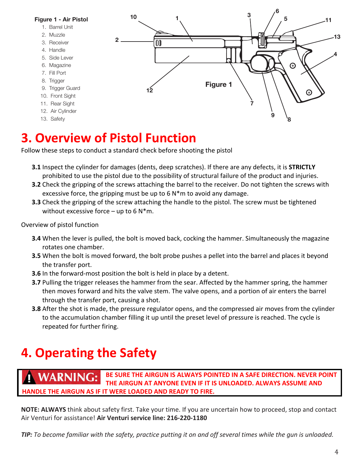

### **3. Overview of Pistol Function**

Follow these steps to conduct a standard check before shooting the pistol

- **3.1** Inspect the cylinder for damages (dents, deep scratches). If there are any defects, it is **STRICTLY**  prohibited to use the pistol due to the possibility of structural failure of the product and injuries.
- **3.2** Check the gripping of the screws attaching the barrel to the receiver. Do not tighten the screws with excessive force, the gripping must be up to 6 N\*m to avoid any damage.
- **3.3** Check the gripping of the screw attaching the handle to the pistol. The screw must be tightened without excessive force – up to 6  $N*m$ .

#### Overview of pistol function

- **3.4** When the lever is pulled, the bolt is moved back, cocking the hammer. Simultaneously the magazine rotates one chamber.
- **3.5** When the bolt is moved forward, the bolt probe pushes a pellet into the barrel and places it beyond the transfer port.
- **3.6** In the forward-most position the bolt is held in place by a detent.
- **3.7** Pulling the trigger releases the hammer from the sear. Affected by the hammer spring, the hammer then moves forward and hits the valve stem. The valve opens, and a portion of air enters the barrel through the transfer port, causing a shot.
- **3.8** After the shot is made, the pressure regulator opens, and the compressed air moves from the cylinder to the accumulation chamber filling it up until the preset level of pressure is reached. The cycle is repeated for further firing.

## **4. Operating the Safety**

**WARNING: BE SURE THE AIRGUN IS ALWAYS POINTED IN A SAFE DIRECTION. NEVER POINT THE AIRGUN AT ANYONE EVEN IF IT IS UNLOADED. ALWAYS ASSUME AND HANDLE THE AIRGUN AS IF IT WERE LOADED AND READY TO FIRE.** 

**NOTE: ALWAYS** think about safety first. Take your time. If you are uncertain how to proceed, stop and contact Air Venturi for assistance! **Air Venturi service line: 216-220-1180** 

*TIP: To become familiar with the safety, practice putting it on and off several times while the gun is unloaded.*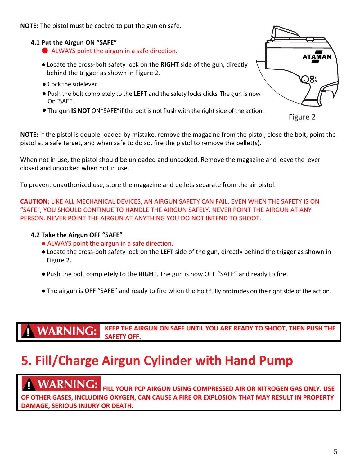**NOTE:** The pistol must be cocked to put the gun on safe.

#### **4.1 Put the Airgun ON "SAFE"**

- ALWAYS point the airgun in a safe direction.
- ●Locate the cross-bolt safety lock on the **RIGHT** side of the gun, directly behind the trigger as shown in Figure 2.
- Cock the sidelever.
- Cock the sidelever.<br>● Push the bolt completely to the **LEFT** and the safety locks clicks. The gun is now On "SAFE".
- **•** The gun **IS NOT** ON "SAFE" if the bolt is not flush with the right side of the action.

Figure 2

.)R.

TAMAN

**NOTE:** If the pistol is double-loaded by mistake, remove the magazine from the pistol, close the bolt, point the pistol at a safe target, and when safe to do so, fire the pistol to remove the pellet(s).

When not in use, the pistol should be unloaded and uncocked. Remove the magazine and leave the lever closed and uncocked when not in use.

To prevent unauthorized use, store the magazine and pellets separate from the air pistol.

**CAUTION:** LIKE ALL MECHANICAL DEVICES, AN AIRGUN SAFETY CAN FAIL. EVEN WHEN THE SAFETY IS ON "SAFE", YOU SHOULD CONTINUE TO HANDLE THE AIRGUN SAFELY. NEVER POINT THE AIRGUN AT ANY PERSON. NEVER POINT THE AIRGUN AT ANYTHING YOU DO NOT INTEND TO SHOOT.

#### **4.2 Take the Airgun OFF "SAFE"**

- ALWAYS point the airgun in a safe direction.
- ●Locate the cross-bolt safety lock on the **LEFT** side of the gun, directly behind the trigger as shown in Figure 2.
- Push the bolt completely to the RIGHT. The gun is now OFF "SAFE" and ready to fire.
- ●The airgun is OFF "SAFE" and ready to fire when the bolt fully protrudes on the right side of the action.

**WARNING: KEEP THE AIRGUN ON SAFE UNTIL YOU ARE READY TO SHOOT, THEN PUSH THE SAFETY OFF.** 

### **5. Fill/Charge Airgun Cylinder 5. Fill/Charge Airgun Cylinder with Hand Pump**

### **WARNING:**

 **FILL YOUR PCP AIRGUN USING COMPRESSED AIR OR NITROGEN GAS ONLY. USE OF OTHER GASES, INCLUDING OXYGEN, CAN CAUSE A FIRE OR EXPLOSION THAT MAY RESULT IN PROPERTY DAMAGE, SERIOUS INJURY OR DEATH.**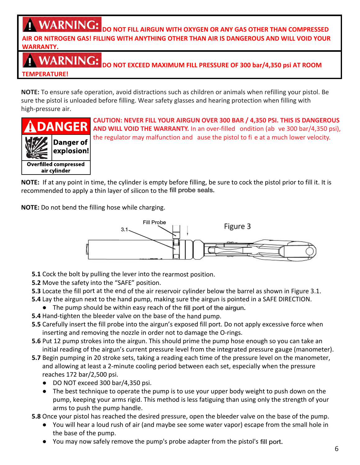### **NARNING:**

#### **AIRGUN WITH OXYGEN OR ANY GAS OTHER THAN COMPRESSED AIR OR NITROGEN GAS! FILLING WITH ANYTHING OTHER THAN AIR IS DANGEROUS AND WILL VOID YOUR WARRANTY.**

**ANY WAIN NUMBER OR NOT EXCEED MAXIMUM FILL PRESSURE OF 300 bar/4,350 psi AT ROOM** 

**WARRANTY. TEMPERATURE!**

**NOTE:** To ensure safe operation, avoid distractions such as children or animals when refilling your pistol. Be sure the pistol is unloaded before filling. Wear safety glasses and hearing protection when filling with high-pressure air.



**TO END REFIGURE SAFETIME CAUTION: NEVER FILL YOUR AIRGUN OVER 300 BAR / 4,350 PSI. THIS IS DANGEROUS CADITION:** NEVERTILE TOOK AIKGON OVER 300 BAR / 4,350 PSI. THIS IS BARGEROUGH WILL YOUR THE WARRANTY. In an over-filled ondition (above 300 bar/4,350 PSI. THIS IS DANGER **AND AND HR AND WILL VOID THE WARRANTY.** In an over-filled ondition (ab ve 300 bar/4,350 psi), the regulator may malfunction and cause the nitral to fit a state work lower relation. the regulator may malfunction and ause the pistol to fi e at a much lower velocity.

**NOTE:** If at any point in time, the cylinder is empty before filling, be sure to cock the pistol prior to fill it. It is recommended to apply a thin layer of silicon to the fill probe seals.

**NOTE:** Do not bend the filling hose while charging. 3.1



- **5.1** Cock the bolt by pulling the lever into the rearmost position.
- **5.2** Move the safety into the "SAFE" position.

**5.3** Locate the fill port at the end of the air reservoir cylinder below the barrel as shown in Figure 3.1.

- **5.4** Lay the airgun next to the hand pump, making sure the airgun is pointed in a SAFE DIRECTION.
- The pump should be within easy reach of the fill port of the airgun.
- **5.4** Hand-tighten the bleeder valve on the base of the hand pump.
- **5.5** Carefully insert the fill probe into the airgun's exposed fill port. Do not apply excessive force when inserting and removing the nozzle in order not to damage the O-rings.
- **5.6** Put 12 pump strokes into the airgun. This should prime the pump hose enough so you can take an initial reading of the airgun's current pressure level from the integrated pressure gauge (manometer).
- 5.7 Begin pumping in 20 stroke sets, taking a reading each time of the pressure level on the manometer, and allowing at least a 2-minute cooling period between each set, especially when the pressure pump, the strength of your arms rigid. This method is less fatiguing than using only the strength of your arms rigid. This method is less fatiguing than using only the strength of your control than using our control of you
	- $\bullet$  DO NOT exceed 300 bar/4,350 psi.
- The best technique to operate the pump is to use your upper body weight to push down on the pump, keeping your arms rigid. This method is less fatiguing than using only the strength of your arms to push the pump handle.
- **5.8** Once your pistol has reached the desired pressure, open the bleeder valve on the base of the pump.
	- You will hear a loud rush of air (and maybe see some water vapor) escape from the small hole in the base of the pump.
	- You may now safely remove the pump's probe adapter from the pistol's fill port.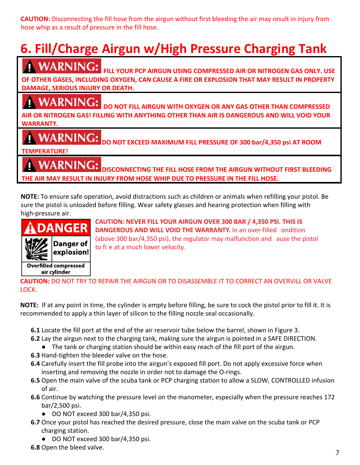**CAUTION:** Disconnecting the fill hose from the airgun without first bleeding the air may result in injury from hose whip as a result of pressure in the fill hose.

### **CAUTION:** Disconnecting the fill hose from the airgun without first bleeding the air may result in injury from **6. Fill/Charge Airgun w/High Pressure Charging Tank**

**WARNING:** FILL YOUR PCP AIRGUN USING COMPRESSED AIR OR NITROGEN GAS ONLY. USE **FILL YOUR PCP AIRGUN USING COMPRESSED AIR OR NITROGEN GAS ONLY. USE OF OTHER GASES, INCLUDING OXYGEN, CAN CAUSE A FIRE OR EXPLOSION THAT MAY RESULT IN PROPERTY DAMAGE, SERIOUS INJURY OR DEATH.**

### **CONSUMERING: INCLUDING: CAUSE EXPLOSION CAUSE EXPLOSION EXPLOSION EXPLOSION CAUSE**

**DAMAGE, SERIOUS INJURY OR DEATH. DO NOT FILL AIRGUN WITH OXYGEN OR ANY GAS OTHER THAN COMPRESSED DO NOT FILL AIRGUN WITH OXYGEN OR ANY GAS OTHER THAN COMPRESSED AIR OR NITROGEN GAS! FILLING WITH ANYTHING OTHER THAN AIR IS DANGEROUS AND WILL VOID YOUR WARRANTY.**

### **EXAMPLE <b>EXAMPLE 1 C C C EXAMPLE <b>EXAMPLE 2 C THANC** *C*

**WARRANTY. DO NOT EXCEED MAXIMUM FILL PRESSURE OF 300 bar/4,350 psi AT ROOM**

### **TEMPERATURE!**

**TEMPERATURE! DISCONNECTING THE FILL HOSE FROM THE AIRGUN WITHOUT FIRST BLEEDING THE AIR MAY RESULT IN INJURY FROM HOSE WHIP DUE TO PRESSURE IN THE FILL HOSE.**

**DISCONNECTING THE FILL HOSE FROM THE AIRGUN WITHOUT FIRST BLEEDING** NOTE: To ensure safe operation, avoid distractions such as children or animals when refilling your pistol. Be NOTE: TO ESSURE SIL.<br>International contraction, and contract as children or animals when refile the second refilling is a children c sure the pistol is unloaded before filling. Wear safety glasses and hearing protection when filling with high-pressure air.



**CAUTION: NEVER FILL YOUR AIRGUN OVER 300 BAR / 4,350 PSI. THIS IS**<br> **CAUTION: NEVER FILL YOUR AIRGUN OVER 300 BAR / 4,350 PSI. THIS IS CAUTION:** Danger of the at a much lower velocity. **CANGEROUS AND WILL VOID THE WARRANTY.** In an over-filled ondition WARRANTY. In an over-filled condition (above 300 bar/4,350 psi), the regulator may malfunction and cause (above 300 bar/4,350 psi), the regulator may malfunction and ause the pistol

#### **CAUTION:** DO NOT TRY TO REPAIR THE AIRGUN OR TO DISASSEMBLE IT TO CORRECT AN OVERVILL OR VALVE<br>LOCK LOCK. recommended to apply a thin layer of silicon to thin layer of silicon to the filling nozzle seal occasionally.

**NOTE:** If at any point in time, the cylinder is empty before filling, be sure to cock the pistol prior to fill it. It is **1.0.12.** If at any point in time, the eyinder is empty service iming, se sare to esen the pistor prior to recommended to apply a thin layer of silicon to the filling nozzle seal occasionally. Francisco to apply a thin layer of sincon to the nining nozzle sear occasionally.

- **6.1** Locate the fill port at the end of the air reservoir tube below the barrel, shown in Figure 3.
- **6.2** Lay the airgun next to the charging tank, making sure the airgun is pointed in a SAFE DIRECTION.
- **6.4** Eag and singurated of the energing term, making sure the airgun is pointed in a sine Binternon.<br>● The tank or charging station should be within easy reach of the fill port of the airgun.
- **6.3** Hand-tighten the bleeder valve on the hose.
- **6.4** Carefully insert the siceder varve on the nose.<br>**6.4** Carefully insert the fill probe into the airgun's exposed fill port. Do not apply excessive force when Inserting and removing the nozzle in order not to damage the O-rings.
- above the main valve of the scuba tank or PCP charging station to allow a SLOW, CONTROLLED infusion **6.5** Open the main valve of the scuba tank or PCP charging station to allow a SLOW, CONTROLLED infusion of air. open are man<br>of air
- **6.6** Continue by watching the pressure level on the manometer, especially when the pressure reaches 172 bar/2,500 psi. 6.6 Continue by watering the pressure fever on the manometer, especially when the pressure reached the script of  $\frac{1}{2}$ 
	- e DO NOT exceed 300 bar/4,350 psi.
- **6.7** Once your pistol has reached the desired pressure, close the main valve on the scuba tank or PCP **6.7** Once your pistor has been
	- DO NOT exceed 300 bar/4,350 psi.
- **6.8** Open the bleed valve.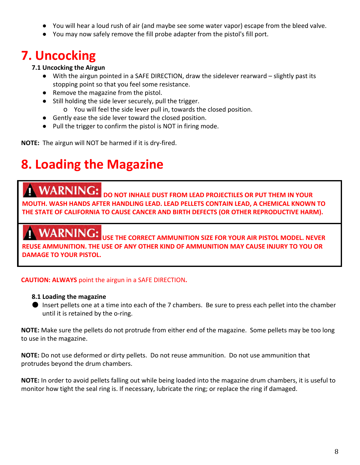- You will hear a loud rush of air (and maybe see some water vapor) escape from the bleed valve.
- You may now safely remove the fill probe adapter from the pistol's fill port.

### **7. Uncocking**

#### **7.1 Uncocking the Airgun**

- With the airgun pointed in a SAFE DIRECTION, draw the sidelever rearward slightly past its stopping point so that you feel some resistance.
- Remove the magazine from the pistol.
- Still holding the side lever securely, pull the trigger.
	- o You will feel the side lever pull in, towards the closed position.
- Gently ease the side lever toward the closed position.
- Pull the trigger to confirm the pistol is NOT in firing mode.

**NOTE:** The airgun will NOT be harmed if it is dry-fired.

### **8. Loading the Magazine**

**DO NOT INHALE** DUST FROM LEAD PROJECTILES OR PUT THEM IN YOUR **MOUTH. WASH HANDS AFTER HANDLING LEAD. LEAD PELLETS CONTAIN LEAD, A CHEMICAL KNOWN TO THE STATE OF CALIFORNIA TO CAUSE CANCER AND BIRTH DEFECTS (OR OTHER REPRODUCTIVE HARM).**

**WARNING:** USE THE CORRECT AMMUNITION SIZE FOR YOUR AIR PISTOL MODEL. NEVER **REUSE AMMUNITION. THE USE OF ANY OTHER KIND OF AMMUNITION MAY CAUSE INJURY TO YOU OR DAMAGE TO YOUR PISTOL.**

#### **CAUTION: ALWAYS** point the airgun in a SAFE DIRECTION**.**

#### **8.1 Loading the magazine**

● Insert pellets one at a time into each of the 7 chambers. Be sure to press each pellet into the chamber until it is retained by the o-ring.

**NOTE:** Make sure the pellets do not protrude from either end of the magazine. Some pellets may be too long to use in the magazine.

**NOTE:** Do not use deformed or dirty pellets. Do not reuse ammunition. Do not use ammunition that protrudes beyond the drum chambers.

**NOTE:** In order to avoid pellets falling out while being loaded into the magazine drum chambers, it is useful to monitor how tight the seal ring is. If necessary, lubricate the ring; or replace the ring if damaged.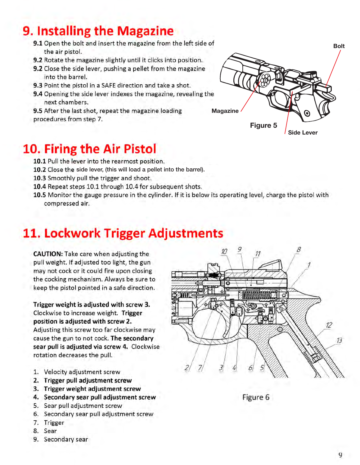### 9. Installing the Magazine

- 9.1 Open the bolt and insert the magazine from the left side of the air pistol.
- 9.2 Rotate the magazine slightly until it clicks into position.
- 9.2 Close the side lever, pushing a pellet from the magazine into the barrel.
- 9.3 Point the pistol in a SAFE direction and take a shot.
- 9.4 Opening the side lever indexes the magazine, revealing the next chambers.
- 9.5 After the last shot, repeat the magazine loading procedures from step 7.

### 10. Firing the Air Pistol

- 10.1 Pull the lever into the rearmost position.
- 10.2 Close the side lever, (this will load a pellet into the barrel).
- 10.3 Smoothly pull the trigger and shoot.
- 10.4 Repeat steps 10.1 through 10.4 for subsequent shots.
- 10.5 Monitor the gauge pressure in the cylinder. If it is below its operating level, charge the pistol with compressed air.

### 11. Lockwork Trigger Adjustments

**CAUTION:** Take care when adjusting the pull weight. If adjusted too light, the gun may not cock or it could fire upon closing the cocking mechanism. Always be sure to keep the pistol pointed in a safe direction.

Trigger weight is adjusted with screw 3. Clockwise to increase weight. Trigger position is adjusted with screw 2. Adjusting this screw too far clockwise may cause the gun to not cock. The secondary sear pull is adjusted via screw 4. Clockwise rotation decreases the pull.

- 1. Velocity adjustment screw
- 2. Trigger pull adjustment screw
- 3. Trigger weight adjustment screw
- 4. Secondary sear pull adjustment screw
- 5. Sear pull adjustment screw
- 6. Secondary sear pull adjustment screw
- 7. Trigger
- 8. Sear
- 9. Secondary sear





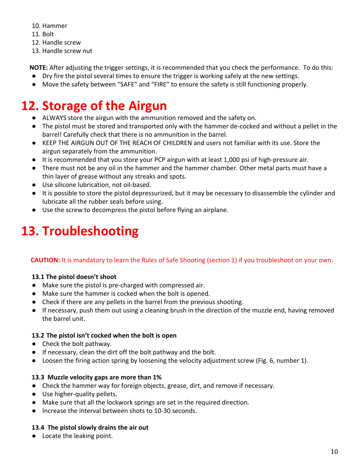- 10. Hammer
- 11. Bolt
- 12. Handle screw
- 13. Handle screw nut

**NOTE:** After adjusting the trigger settings, it is recommended that you check the performance. To do this:

- Dry fire the pistol several times to ensure the trigger is working safely at the new settings.
- Move the safety between "SAFE" and "FIRE" to ensure the safety is still functioning properly.

## **12. Storage of the Airgun**

- ALWAYS store the airgun with the ammunition removed and the safety on.
- The pistol must be stored and transported only with the hammer de-cocked and without a pellet in the barrel! Carefully check that there is no ammunition in the barrel.
- KEEP THE AIRGUN OUT OF THE REACH OF CHILDREN and users not familiar with its use. Store the airgun separately from the ammunition.
- It is recommended that you store your PCP airgun with at least 1,000 psi of high-pressure air.
- There must not be any oil in the hammer and the hammer chamber. Other metal parts must have a thin layer of grease without any streaks and spots.
- Use silicone lubrication, not oil-based.
- It is possible to store the pistol depressurized, but it may be necessary to disassemble the cylinder and lubricate all the rubber seals before using.
- Use the screw to decompress the pistol before flying an airplane.

## **13. Troubleshooting**

### **CAUTION:** It is mandatory to learn the Rules of Safe Shooting (section 1) if you troubleshoot on your own.

### **13.1 The pistol doesn't shoot**

- Make sure the pistol is pre-charged with compressed air.
- Make sure the hammer is cocked when the bolt is opened.
- Check if there are any pellets in the barrel from the previous shooting.
- If necessary, push them out using a cleaning brush in the direction of the muzzle end, having removed the barrel unit.

### **13.2 The pistol isn't cocked when the bolt is open**

- Check the bolt pathway.
- If necessary, clean the dirt off the bolt pathway and the bolt.
- Loosen the firing action spring by loosening the velocity adjustment screw (Fig. 6, number 1).

### **13.3 Muzzle velocity gaps are more than 1%**

- Check the hammer way for foreign objects, grease, dirt, and remove if necessary.
- Use higher-quality pellets.
- Make sure that all the lockwork springs are set in the required direction.
- Increase the interval between shots to 10-30 seconds.

### **13.4 The pistol slowly drains the air out**

● Locate the leaking point.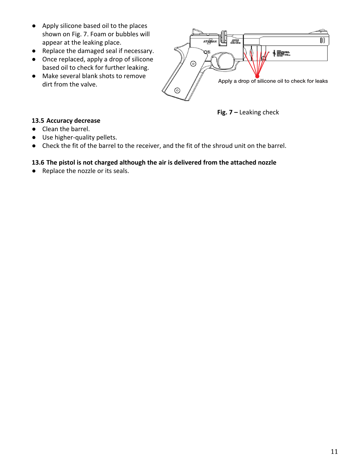- Apply silicone based oil to the places shown on Fig. 7. Foam or bubbles will appear at the leaking place.
- Replace the damaged seal if necessary.
- Once replaced, apply a drop of silicone based oil to check for further leaking.
- Make several blank shots to remove dirt from the valve.



**Fig. 7 –** Leaking check

#### **13.5 Accuracy decrease**

- Clean the barrel.
- Use higher-quality pellets.
- Check the fit of the barrel to the receiver, and the fit of the shroud unit on the barrel.

#### **13.6 The pistol is not charged although the air is delivered from the attached nozzle**

● Replace the nozzle or its seals.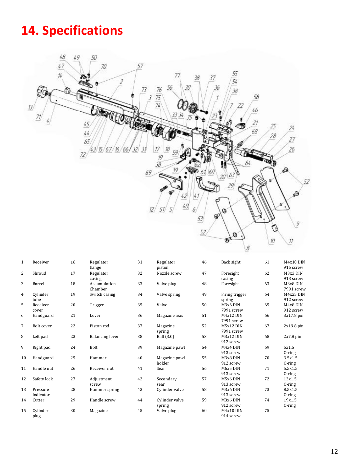### **14. Specifications**



| 1              | Receiver              | 16 | Regulator<br>flange     | 31 | Regulator<br>piston      | 46 | Back sight               | 61 | M4x10 DIN<br>915 screw |
|----------------|-----------------------|----|-------------------------|----|--------------------------|----|--------------------------|----|------------------------|
| $\overline{2}$ | Shroud                | 17 | Regulator<br>casing     | 32 | Nozzle screw             | 47 | Foresight<br>casing      | 62 | M3x3 DIN<br>913 screw  |
| 3              | Barrel                | 18 | Accumulation<br>Chamber | 33 | Valve plug               | 48 | Foresight                | 63 | M3x8 DIN<br>7991 screw |
| $\overline{4}$ | Cylinder<br>tube      | 19 | Switch casing           | 34 | Valve spring             | 49 | Firing trigger<br>spring | 64 | M4x25 DIN<br>912 screw |
| 5              | Receiver<br>cover     | 20 | Trigger                 | 35 | Valve                    | 50 | M3x6 DIN<br>7991 screw   | 65 | M4x8 DIN<br>912 screw  |
| 6              | Handguard             | 21 | Lever                   | 36 | Magazine axis            | 51 | M4x12 DIN<br>7991 screw  | 66 | $3x17.8 \text{ pin}$   |
| 7              | Bolt cover            | 22 | Piston rod              | 37 | Magazine<br>spring       | 52 | M5x12 DIN<br>7991 screw  | 67 | $2x19.8 \text{ pin}$   |
| 8              | Left pad              | 23 | <b>Balancing lever</b>  | 38 | Ball (3.0)               | 53 | M3x12 DIN<br>912 screw   | 68 | $2x7.8 \text{ pin}$    |
| 9              | Right pad             | 24 | Bolt                    | 39 | Magazine pawl            | 54 | M4x4 DIN<br>913 screw    | 69 | 5x1.5<br>$0$ -ring     |
| 10             | Handguard             | 25 | Hammer                  | 40 | Magazine pawl<br>holder  | 55 | M3x8 DIN<br>912 screw    | 70 | 3.5x1.5<br>$0$ -ring   |
| 11             | Handle nut            | 26 | Receiver nut            | 41 | Sear                     | 56 | M6x5 DIN<br>913 screw    | 71 | 5.5x1.5<br>$0$ -ring   |
| 12             | Safety lock           | 27 | Adjustment<br>screw     | 42 | Secondary<br>sear        | 57 | M5x6 DIN<br>913 screw    | 72 | 13x1.5<br>$0$ -ring    |
| 13             | Pressure<br>indicator | 28 | Hammer spring           | 43 | Cylinder valve           | 58 | M3x6 DIN<br>913 screw    | 73 | 8.5x1.5<br>$0$ -ring   |
| 14             | Cutter                | 29 | Handle screw            | 44 | Cylinder valve<br>spring | 59 | M3x6 DIN<br>912 screw    | 74 | 19x1.5<br>$0$ -ring    |
| 15             | Cylinder<br>plug      | 30 | Magazine                | 45 | Valve plug               | 60 | M4x10 DIN<br>914 screw   | 75 |                        |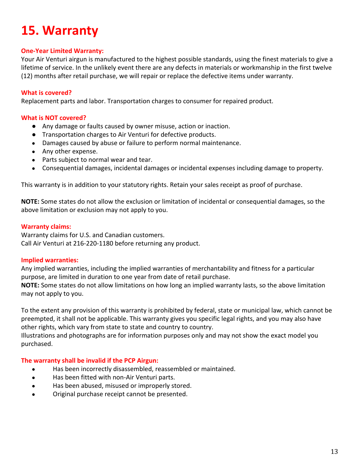### **15. Warranty**

#### **One-Year Limited Warranty:**

Your Air Venturi airgun is manufactured to the highest possible standards, using the finest materials to give a lifetime of service. In the unlikely event there are any defects in materials or workmanship in the first twelve (12) months after retail purchase, we will repair or replace the defective items under warranty.

#### **What is covered?**

Replacement parts and labor. Transportation charges to consumer for repaired product.

#### **What is NOT covered?**

- Any damage or faults caused by owner misuse, action or inaction.
- Transportation charges to Air Venturi for defective products.
- Damages caused by abuse or failure to perform normal maintenance.
- Any other expense.
- Parts subject to normal wear and tear.
- Consequential damages, incidental damages or incidental expenses including damage to property.

This warranty is in addition to your statutory rights. Retain your sales receipt as proof of purchase.

**NOTE:** Some states do not allow the exclusion or limitation of incidental or consequential damages, so the above limitation or exclusion may not apply to you.

#### **Warranty claims:**

Warranty claims for U.S. and Canadian customers. Call Air Venturi at 216-220-1180 before returning any product.

#### **Implied warranties:**

Any implied warranties, including the implied warranties of merchantability and fitness for a particular purpose, are limited in duration to one year from date of retail purchase.

**NOTE:** Some states do not allow limitations on how long an implied warranty lasts, so the above limitation may not apply to you.

To the extent any provision of this warranty is prohibited by federal, state or municipal law, which cannot be preempted, it shall not be applicable. This warranty gives you specific legal rights, and you may also have other rights, which vary from state to state and country to country.

Illustrations and photographs are for information purposes only and may not show the exact model you purchased.

#### **The warranty shall be invalid if the PCP Airgun:**

- Has been incorrectly disassembled, reassembled or maintained.
- Has been fitted with non-Air Venturi parts.
- Has been abused, misused or improperly stored.
- Original purchase receipt cannot be presented.